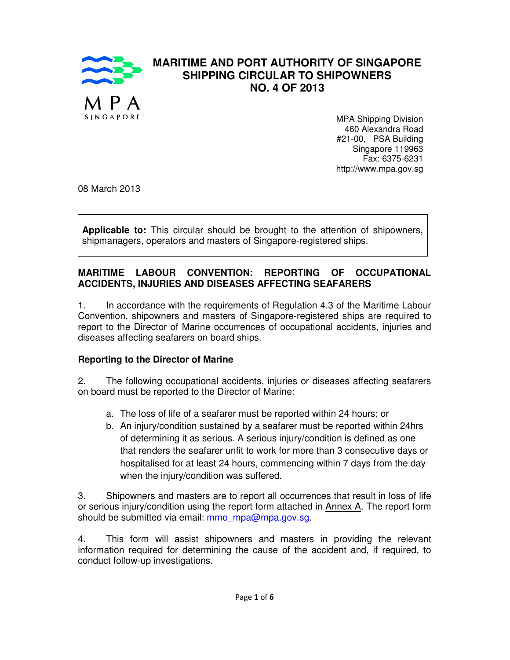

# **MARITIME AND PORT AUTHORITY OF SINGAPORE SHIPPING CIRCULAR TO SHIPOWNERS NO. 4 OF 2013**

MPA Shipping Division 460 Alexandra Road #21-00, PSA Building Singapore 119963 Fax: 6375-6231 http://www.mpa.gov.sg

08 March 2013

**Applicable to:** This circular should be brought to the attention of shipowners, shipmanagers, operators and masters of Singapore-registered ships.

#### **MARITIME LABOUR CONVENTION: REPORTING OF OCCUPATIONAL ACCIDENTS, INJURIES AND DISEASES AFFECTING SEAFARERS**

1. In accordance with the requirements of Regulation 4.3 of the Maritime Labour Convention, shipowners and masters of Singapore-registered ships are required to report to the Director of Marine occurrences of occupational accidents, injuries and diseases affecting seafarers on board ships.

#### **Reporting to the Director of Marine**

2. The following occupational accidents, injuries or diseases affecting seafarers on board must be reported to the Director of Marine:

- a. The loss of life of a seafarer must be reported within 24 hours; or
- b. An injury/condition sustained by a seafarer must be reported within 24hrs of determining it as serious. A serious injury/condition is defined as one that renders the seafarer unfit to work for more than 3 consecutive days or hospitalised for at least 24 hours, commencing within 7 days from the day when the injury/condition was suffered.

3. Shipowners and masters are to report all occurrences that result in loss of life or serious injury/condition using the report form attached in Annex A. The report form should be submitted via email: mmo\_mpa@mpa.gov.sg.

4. This form will assist shipowners and masters in providing the relevant information required for determining the cause of the accident and, if required, to conduct follow-up investigations.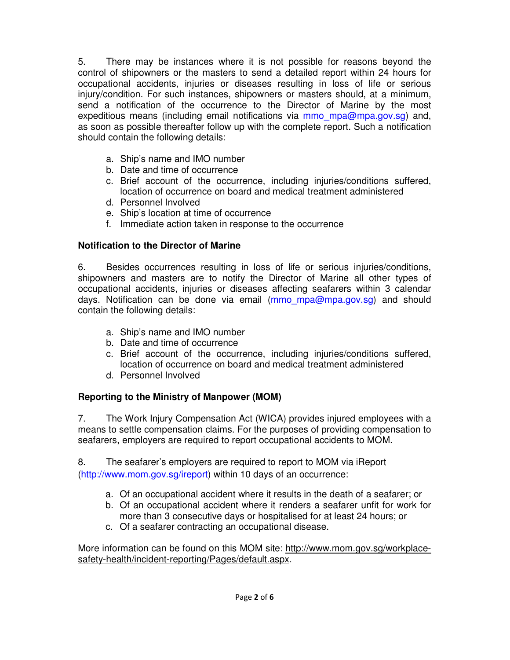5. There may be instances where it is not possible for reasons beyond the control of shipowners or the masters to send a detailed report within 24 hours for occupational accidents, injuries or diseases resulting in loss of life or serious injury/condition. For such instances, shipowners or masters should, at a minimum, send a notification of the occurrence to the Director of Marine by the most expeditious means (including email notifications via mmo\_mpa@mpa.gov.sg) and, as soon as possible thereafter follow up with the complete report. Such a notification should contain the following details:

- a. Ship's name and IMO number
- b. Date and time of occurrence
- c. Brief account of the occurrence, including injuries/conditions suffered, location of occurrence on board and medical treatment administered
- d. Personnel Involved
- e. Ship's location at time of occurrence
- f. Immediate action taken in response to the occurrence

## **Notification to the Director of Marine**

6. Besides occurrences resulting in loss of life or serious injuries/conditions, shipowners and masters are to notify the Director of Marine all other types of occupational accidents, injuries or diseases affecting seafarers within 3 calendar days. Notification can be done via email (mmo mpa@mpa.gov.sg) and should contain the following details:

- a. Ship's name and IMO number
- b. Date and time of occurrence
- c. Brief account of the occurrence, including injuries/conditions suffered, location of occurrence on board and medical treatment administered
- d. Personnel Involved

# **Reporting to the Ministry of Manpower (MOM)**

7. The Work Injury Compensation Act (WICA) provides injured employees with a means to settle compensation claims. For the purposes of providing compensation to seafarers, employers are required to report occupational accidents to MOM.

8. The seafarer's employers are required to report to MOM via iReport (http://www.mom.gov.sg/ireport) within 10 days of an occurrence:

- a. Of an occupational accident where it results in the death of a seafarer; or
- b. Of an occupational accident where it renders a seafarer unfit for work for more than 3 consecutive days or hospitalised for at least 24 hours; or
- c. Of a seafarer contracting an occupational disease.

More information can be found on this MOM site: http://www.mom.gov.sg/workplacesafety-health/incident-reporting/Pages/default.aspx.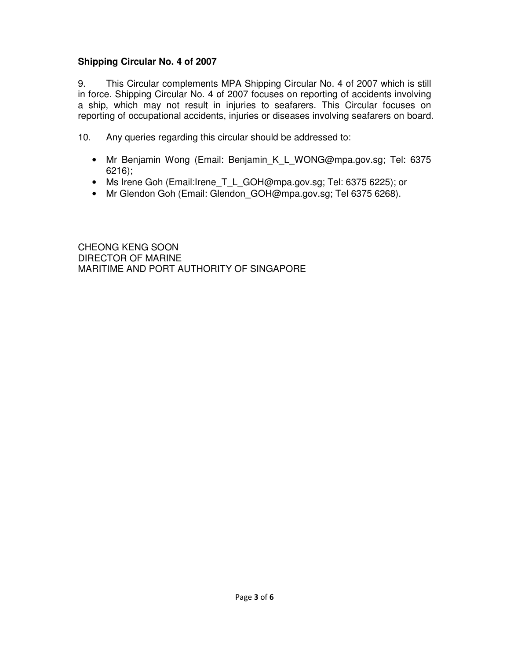# **Shipping Circular No. 4 of 2007**

9. This Circular complements MPA Shipping Circular No. 4 of 2007 which is still in force. Shipping Circular No. 4 of 2007 focuses on reporting of accidents involving a ship, which may not result in injuries to seafarers. This Circular focuses on reporting of occupational accidents, injuries or diseases involving seafarers on board.

10. Any queries regarding this circular should be addressed to:

- Mr Benjamin Wong (Email: Benjamin K L WONG@mpa.gov.sg; Tel: 6375 6216);
- Ms Irene Goh (Email:Irene\_T\_L\_GOH@mpa.gov.sg; Tel: 6375 6225); or
- Mr Glendon Goh (Email: Glendon\_GOH@mpa.gov.sg; Tel 6375 6268).

CHEONG KENG SOON DIRECTOR OF MARINE MARITIME AND PORT AUTHORITY OF SINGAPORE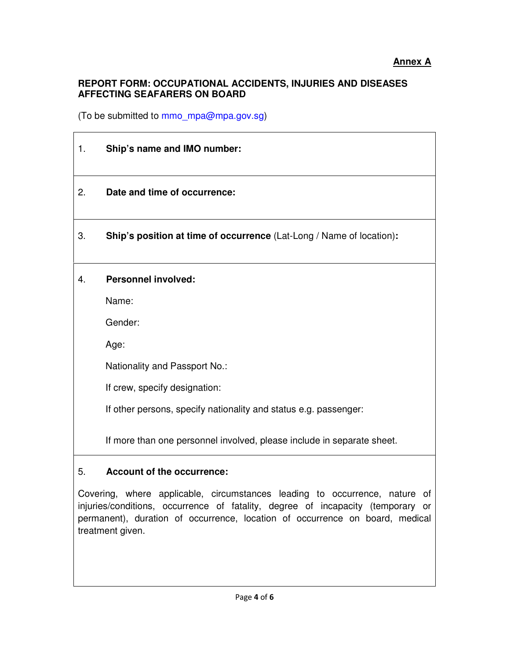### **REPORT FORM: OCCUPATIONAL ACCIDENTS, INJURIES AND DISEASES AFFECTING SEAFARERS ON BOARD**

(To be submitted to mmo\_mpa@mpa.gov.sg)

| 1. | Ship's name and IMO number:                                            |
|----|------------------------------------------------------------------------|
| 2. | Date and time of occurrence:                                           |
| 3. | Ship's position at time of occurrence (Lat-Long / Name of location):   |
| 4. | <b>Personnel involved:</b>                                             |
|    | Name:                                                                  |
|    | Gender:                                                                |
|    | Age:                                                                   |
|    | Nationality and Passport No.:                                          |
|    | If crew, specify designation:                                          |
|    | If other persons, specify nationality and status e.g. passenger:       |
|    | If more than one personnel involved, please include in separate sheet. |
| 5. | <b>Account of the occurrence:</b>                                      |

Covering, where applicable, circumstances leading to occurrence, nature of injuries/conditions, occurrence of fatality, degree of incapacity (temporary or permanent), duration of occurrence, location of occurrence on board, medical treatment given.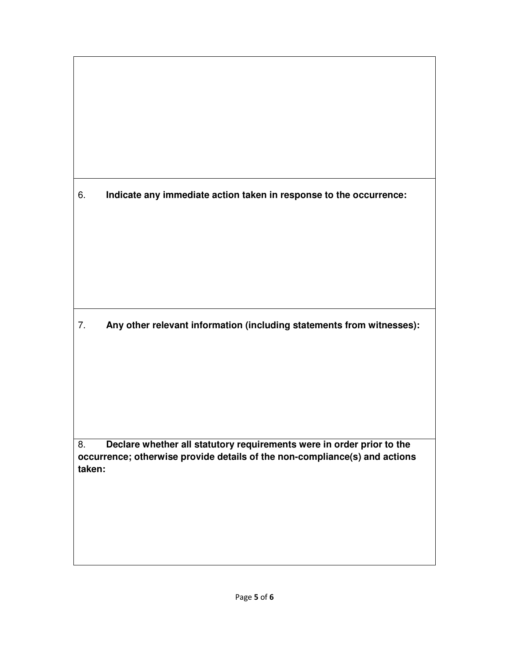6. **Indicate any immediate action taken in response to the occurrence:** 

7. **Any other relevant information (including statements from witnesses):** 

8. **Declare whether all statutory requirements were in order prior to the occurrence; otherwise provide details of the non-compliance(s) and actions taken:**